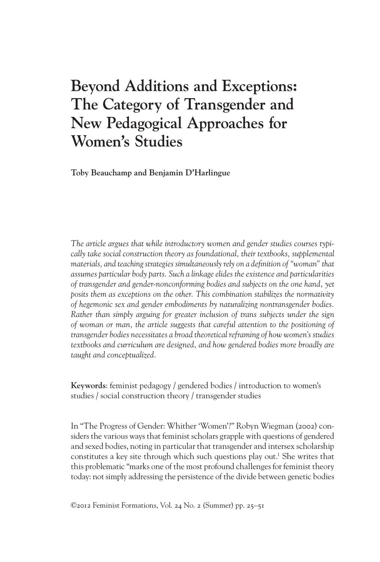# **Beyond Additions and Exceptions: The Category of Transgender and New Pedagogical Approaches for Women's Studies**

**Toby Beauchamp and Benjamin D'Harlingue**

*The article argues that while introductory women and gender studies courses typically take social construction theory as foundational, their textbooks, supplemental materials, and teaching strategies simultaneously rely on a definition of "woman" that assumes particular body parts. Such a linkage elides the existence and particularities of transgender and gender-nonconforming bodies and subjects on the one hand, yet posits them as exceptions on the other. This combination stabilizes the normativity of hegemonic sex and gender embodiments by naturalizing nontransgender bodies. Rather than simply arguing for greater inclusion of trans subjects under the sign of woman or man, the article suggests that careful attention to the positioning of transgender bodies necessitates a broad theoretical reframing of how women's studies textbooks and curriculum are designed, and how gendered bodies more broadly are taught and conceptualized.*

**Keywords**: feminist pedagogy / gendered bodies / introduction to women's studies / social construction theory / transgender studies

In "The Progress of Gender: Whither 'Women'?" Robyn Wiegman (2002) considers the various ways that feminist scholars grapple with questions of gendered and sexed bodies, noting in particular that transgender and intersex scholarship constitutes a key site through which such questions play out.<sup>1</sup> She writes that this problematic "marks one of the most profound challenges for feminist theory today: not simply addressing the persistence of the divide between genetic bodies

©2012 Feminist Formations, Vol. 24 No. 2 (Summer) pp. 25–51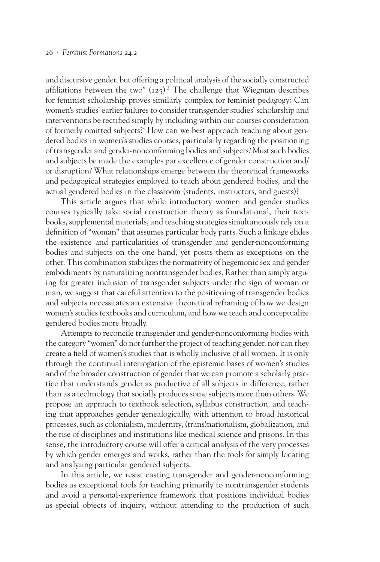and discursive gender, but offering a political analysis of the socially constructed affiliations between the two"  $(125)^2$ . The challenge that Wiegman describes for feminist scholarship proves similarly complex for feminist pedagogy: Can women's studies' earlier failures to consider transgender studies' scholarship and interventions be rectified simply by including within our courses consideration of formerly omitted subjects?<sup>3</sup> How can we best approach teaching about gendered bodies in women's studies courses, particularly regarding the positioning of transgender and gender-nonconforming bodies and subjects? Must such bodies and subjects be made the examples par excellence of gender construction and/ or disruption? What relationships emerge between the theoretical frameworks and pedagogical strategies employed to teach about gendered bodies, and the actual gendered bodies in the classroom (students, instructors, and guests)?

This article argues that while introductory women and gender studies courses typically take social construction theory as foundational, their textbooks, supplemental materials, and teaching strategies simultaneously rely on a definition of "woman" that assumes particular body parts. Such a linkage elides the existence and particularities of transgender and gender-nonconforming bodies and subjects on the one hand, yet posits them as exceptions on the other. This combination stabilizes the normativity of hegemonic sex and gender embodiments by naturalizing nontransgender bodies. Rather than simply arguing for greater inclusion of transgender subjects under the sign of woman or man, we suggest that careful attention to the positioning of transgender bodies and subjects necessitates an extensive theoretical reframing of how we design women's studies textbooks and curriculum, and how we teach and conceptualize gendered bodies more broadly.

Attempts to reconcile transgender and gender-nonconforming bodies with the category "women" do not further the project of teaching gender, nor can they create a field of women's studies that is wholly inclusive of all women. It is only through the continual interrogation of the epistemic bases of women's studies and of the broader construction of gender that we can promote a scholarly practice that understands gender as productive of all subjects in difference, rather than as a technology that socially produces some subjects more than others. We propose an approach to textbook selection, syllabus construction, and teaching that approaches gender genealogically, with attention to broad historical processes, such as colonialism, modernity, (trans)nationalism, globalization, and the rise of disciplines and institutions like medical science and prisons. In this sense, the introductory course will offer a critical analysis of the very processes by which gender emerges and works, rather than the tools for simply locating and analyzing particular gendered subjects.

In this article, we resist casting transgender and gender-nonconforming bodies as exceptional tools for teaching primarily to nontransgender students and avoid a personal-experience framework that positions individual bodies as special objects of inquiry, without attending to the production of such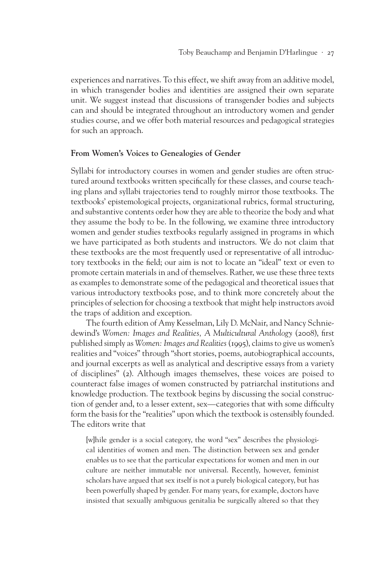experiences and narratives. To this effect, we shift away from an additive model, in which transgender bodies and identities are assigned their own separate unit. We suggest instead that discussions of transgender bodies and subjects can and should be integrated throughout an introductory women and gender studies course, and we offer both material resources and pedagogical strategies for such an approach.

# **From Women's Voices to Genealogies of Gender**

Syllabi for introductory courses in women and gender studies are often structured around textbooks written specifically for these classes, and course teaching plans and syllabi trajectories tend to roughly mirror those textbooks. The textbooks' epistemological projects, organizational rubrics, formal structuring, and substantive contents order how they are able to theorize the body and what they assume the body to be. In the following, we examine three introductory women and gender studies textbooks regularly assigned in programs in which we have participated as both students and instructors. We do not claim that these textbooks are the most frequently used or representative of all introductory textbooks in the field; our aim is not to locate an "ideal" text or even to promote certain materials in and of themselves. Rather, we use these three texts as examples to demonstrate some of the pedagogical and theoretical issues that various introductory textbooks pose, and to think more concretely about the principles of selection for choosing a textbook that might help instructors avoid the traps of addition and exception.

The fourth edition of Amy Kesselman, Lily D. McNair, and Nancy Schniedewind's *Women: Images and Realities, A Multicultural Anthology* (2008), first published simply as *Women: Images and Realities* (1995), claims to give us women's realities and "voices" through "short stories, poems, autobiographical accounts, and journal excerpts as well as analytical and descriptive essays from a variety of disciplines" (2). Although images themselves, these voices are poised to counteract false images of women constructed by patriarchal institutions and knowledge production. The textbook begins by discussing the social construction of gender and, to a lesser extent, sex—categories that with some difficulty form the basis for the "realities" upon which the textbook is ostensibly founded. The editors write that

[w]hile gender is a social category, the word "sex" describes the physiological identities of women and men. The distinction between sex and gender enables us to see that the particular expectations for women and men in our culture are neither immutable nor universal. Recently, however, feminist scholars have argued that sex itself is not a purely biological category, but has been powerfully shaped by gender. For many years, for example, doctors have insisted that sexually ambiguous genitalia be surgically altered so that they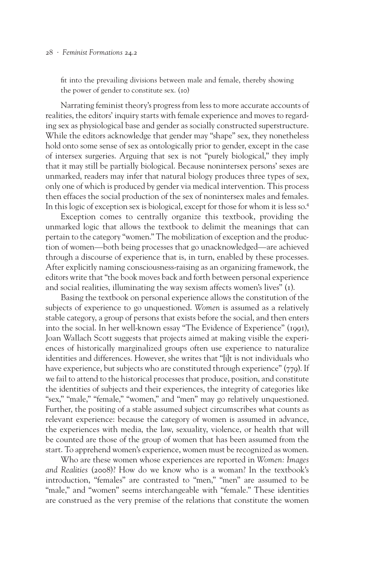fit into the prevailing divisions between male and female, thereby showing the power of gender to constitute sex. (10)

Narrating feminist theory's progress from less to more accurate accounts of realities, the editors' inquiry starts with female experience and moves to regarding sex as physiological base and gender as socially constructed superstructure. While the editors acknowledge that gender may "shape" sex, they nonetheless hold onto some sense of sex as ontologically prior to gender, except in the case of intersex surgeries. Arguing that sex is not "purely biological," they imply that it may still be partially biological. Because nonintersex persons' sexes are unmarked, readers may infer that natural biology produces three types of sex, only one of which is produced by gender via medical intervention. This process then effaces the social production of the sex of nonintersex males and females. In this logic of exception sex is biological, except for those for whom it is less so.<sup>4</sup>

Exception comes to centrally organize this textbook, providing the unmarked logic that allows the textbook to delimit the meanings that can pertain to the category "women." The mobilization of exception and the production of women—both being processes that go unacknowledged—are achieved through a discourse of experience that is, in turn, enabled by these processes. After explicitly naming consciousness-raising as an organizing framework, the editors write that "the book moves back and forth between personal experience and social realities, illuminating the way sexism affects women's lives" (1).

Basing the textbook on personal experience allows the constitution of the subjects of experience to go unquestioned. *Women* is assumed as a relatively stable category, a group of persons that exists before the social, and then enters into the social. In her well-known essay "The Evidence of Experience" (1991), Joan Wallach Scott suggests that projects aimed at making visible the experiences of historically marginalized groups often use experience to naturalize identities and differences. However, she writes that "[i]t is not individuals who have experience, but subjects who are constituted through experience" (779). If we fail to attend to the historical processes that produce, position, and constitute the identities of subjects and their experiences, the integrity of categories like "sex," "male," "female," "women," and "men" may go relatively unquestioned. Further, the positing of a stable assumed subject circumscribes what counts as relevant experience: because the category of women is assumed in advance, the experiences with media, the law, sexuality, violence, or health that will be counted are those of the group of women that has been assumed from the start. To apprehend women's experience, women must be recognized as women.

Who are these women whose experiences are reported in *Women: Images and Realities* (2008)? How do we know who is a woman? In the textbook's introduction, "females" are contrasted to "men," "men" are assumed to be "male," and "women" seems interchangeable with "female." These identities are construed as the very premise of the relations that constitute the women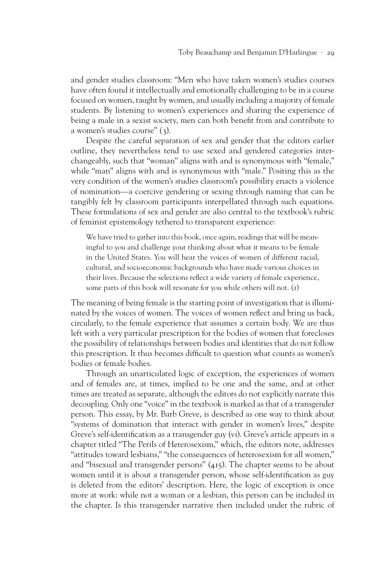and gender studies classroom: "Men who have taken women's studies courses have often found it intellectually and emotionally challenging to be in a course focused on women, taught by women, and usually including a majority of female students. By listening to women's experiences and sharing the experience of being a male in a sexist society, men can both benefit from and contribute to a women's studies course" (3).

Despite the careful separation of sex and gender that the editors earlier outline, they nevertheless tend to use sexed and gendered categories interchangeably, such that "woman" aligns with and is synonymous with "female," while "man" aligns with and is synonymous with "male." Positing this as the very condition of the women's studies classroom's possibility enacts a violence of nomination—a coercive gendering or sexing through naming that can be tangibly felt by classroom participants interpellated through such equations. These formulations of sex and gender are also central to the textbook's rubric of feminist epistemology tethered to transparent experience:

We have tried to gather into this book, once again, readings that will be meaningful to you and challenge your thinking about what it means to be female in the United States. You will hear the voices of women of different racial, cultural, and socioeconomic backgrounds who have made various choices in their lives. Because the selections reflect a wide variety of female experience, some parts of this book will resonate for you while others will not. (1)

The meaning of being female is the starting point of investigation that is illuminated by the voices of women. The voices of women reflect and bring us back, circularly, to the female experience that assumes a certain body. We are thus left with a very particular prescription for the bodies of women that forecloses the possibility of relationships between bodies and identities that do not follow this prescription. It thus becomes difficult to question what counts as women's bodies or female bodies.

Through an unarticulated logic of exception, the experiences of women and of females are, at times, implied to be one and the same, and at other times are treated as separate, although the editors do not explicitly narrate this decoupling. Only one "voice" in the textbook is marked as that of a transgender person. This essay, by Mr. Barb Greve, is described as one way to think about "systems of domination that interact with gender in women's lives," despite Greve's self-identification as a transgender guy (vi). Greve's article appears in a chapter titled "The Perils of Heterosexism," which, the editors note, addresses "attitudes toward lesbians," "the consequences of heterosexism for all women," and "bisexual and transgender persons" (415). The chapter seems to be about women until it is about a transgender person, whose self-identification as guy is deleted from the editors' description. Here, the logic of exception is once more at work: while not a woman or a lesbian, this person can be included in the chapter. Is this transgender narrative then included under the rubric of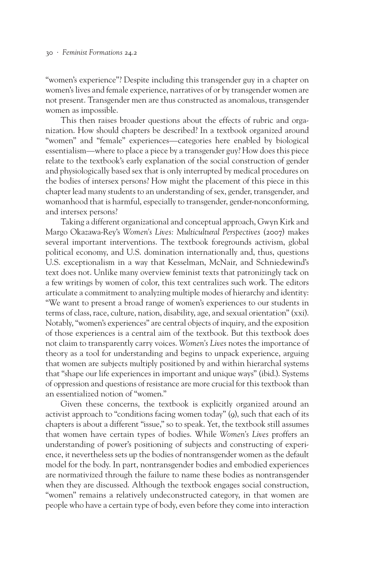"women's experience"? Despite including this transgender guy in a chapter on women's lives and female experience, narratives of or by transgender women are not present. Transgender men are thus constructed as anomalous, transgender women as impossible.

This then raises broader questions about the effects of rubric and organization. How should chapters be described? In a textbook organized around "women" and "female" experiences—categories here enabled by biological essentialism—where to place a piece by a transgender guy? How does this piece relate to the textbook's early explanation of the social construction of gender and physiologically based sex that is only interrupted by medical procedures on the bodies of intersex persons? How might the placement of this piece in this chapter lead many students to an understanding of sex, gender, transgender, and womanhood that is harmful, especially to transgender, gender-nonconforming, and intersex persons?

Taking a different organizational and conceptual approach, Gwyn Kirk and Margo Okazawa-Rey's *Women's Lives: Multicultural Perspectives* (2007) makes several important interventions. The textbook foregrounds activism, global political economy, and U.S. domination internationally and, thus, questions U.S. exceptionalism in a way that Kesselman, McNair, and Schniedewind's text does not. Unlike many overview feminist texts that patronizingly tack on a few writings by women of color, this text centralizes such work. The editors articulate a commitment to analyzing multiple modes of hierarchy and identity: "We want to present a broad range of women's experiences to our students in terms of class, race, culture, nation, disability, age, and sexual orientation" (xxi). Notably, "women's experiences" are central objects of inquiry, and the exposition of those experiences is a central aim of the textbook. But this textbook does not claim to transparently carry voices. *Women's Lives* notes the importance of theory as a tool for understanding and begins to unpack experience, arguing that women are subjects multiply positioned by and within hierarchal systems that "shape our life experiences in important and unique ways" (ibid.). Systems of oppression and questions of resistance are more crucial for this textbook than an essentialized notion of "women."

Given these concerns, the textbook is explicitly organized around an activist approach to "conditions facing women today" (9), such that each of its chapters is about a different "issue," so to speak. Yet, the textbook still assumes that women have certain types of bodies. While *Women's Lives* proffers an understanding of power's positioning of subjects and constructing of experience, it nevertheless sets up the bodies of nontransgender women as the default model for the body. In part, nontransgender bodies and embodied experiences are normativized through the failure to name these bodies as nontransgender when they are discussed. Although the textbook engages social construction, "women" remains a relatively undeconstructed category, in that women are people who have a certain type of body, even before they come into interaction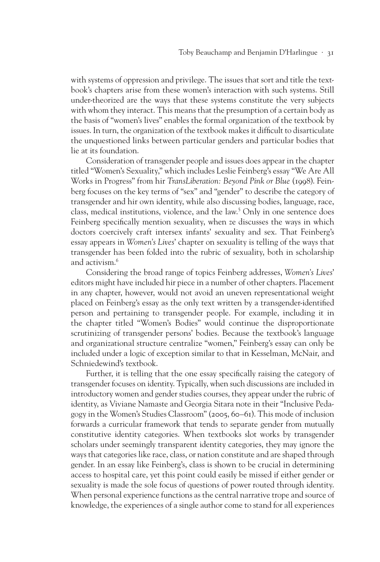with systems of oppression and privilege. The issues that sort and title the textbook's chapters arise from these women's interaction with such systems. Still under-theorized are the ways that these systems constitute the very subjects with whom they interact. This means that the presumption of a certain body as the basis of "women's lives" enables the formal organization of the textbook by issues. In turn, the organization of the textbook makes it difficult to disarticulate the unquestioned links between particular genders and particular bodies that lie at its foundation.

Consideration of transgender people and issues does appear in the chapter titled "Women's Sexuality," which includes Leslie Feinberg's essay "We Are All Works in Progress" from hir *TransLiberation: Beyond Pink or Blue* (1998). Feinberg focuses on the key terms of "sex" and "gender" to describe the category of transgender and hir own identity, while also discussing bodies, language, race, class, medical institutions, violence, and the law.5 Only in one sentence does Feinberg specifically mention sexuality, when ze discusses the ways in which doctors coercively craft intersex infants' sexuality and sex. That Feinberg's essay appears in *Women's Lives*' chapter on sexuality is telling of the ways that transgender has been folded into the rubric of sexuality, both in scholarship and activism.6

Considering the broad range of topics Feinberg addresses, *Women's Lives*' editors might have included hir piece in a number of other chapters. Placement in any chapter, however, would not avoid an uneven representational weight placed on Feinberg's essay as the only text written by a transgender-identified person and pertaining to transgender people. For example, including it in the chapter titled "Women's Bodies" would continue the disproportionate scrutinizing of transgender persons' bodies. Because the textbook's language and organizational structure centralize "women," Feinberg's essay can only be included under a logic of exception similar to that in Kesselman, McNair, and Schniedewind's textbook.

Further, it is telling that the one essay specifically raising the category of transgender focuses on identity. Typically, when such discussions are included in introductory women and gender studies courses, they appear under the rubric of identity, as Viviane Namaste and Georgia Sitara note in their "Inclusive Pedagogy in the Women's Studies Classroom" (2005, 60–61). This mode of inclusion forwards a curricular framework that tends to separate gender from mutually constitutive identity categories. When textbooks slot works by transgender scholars under seemingly transparent identity categories, they may ignore the ways that categories like race, class, or nation constitute and are shaped through gender. In an essay like Feinberg's, class is shown to be crucial in determining access to hospital care, yet this point could easily be missed if either gender or sexuality is made the sole focus of questions of power routed through identity. When personal experience functions as the central narrative trope and source of knowledge, the experiences of a single author come to stand for all experiences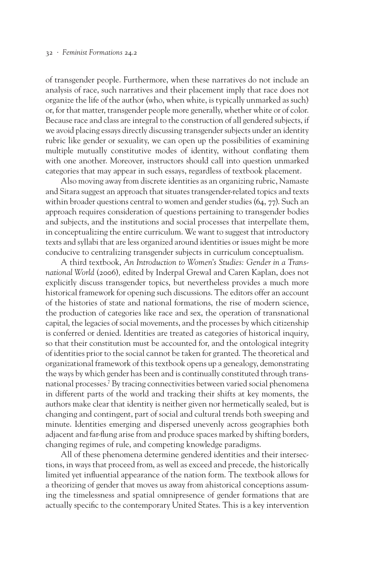of transgender people. Furthermore, when these narratives do not include an analysis of race, such narratives and their placement imply that race does not organize the life of the author (who, when white, is typically unmarked as such) or, for that matter, transgender people more generally, whether white or of color. Because race and class are integral to the construction of all gendered subjects, if we avoid placing essays directly discussing transgender subjects under an identity rubric like gender or sexuality, we can open up the possibilities of examining multiple mutually constitutive modes of identity, without conflating them with one another. Moreover, instructors should call into question unmarked categories that may appear in such essays, regardless of textbook placement.

Also moving away from discrete identities as an organizing rubric, Namaste and Sitara suggest an approach that situates transgender-related topics and texts within broader questions central to women and gender studies (64, 77). Such an approach requires consideration of questions pertaining to transgender bodies and subjects, and the institutions and social processes that interpellate them, in conceptualizing the entire curriculum. We want to suggest that introductory texts and syllabi that are less organized around identities or issues might be more conducive to centralizing transgender subjects in curriculum conceptualism.

A third textbook, *An Introduction to Women's Studies: Gender in a Transnational World* (2006)*,* edited by Inderpal Grewal and Caren Kaplan, does not explicitly discuss transgender topics, but nevertheless provides a much more historical framework for opening such discussions. The editors offer an account of the histories of state and national formations, the rise of modern science, the production of categories like race and sex, the operation of transnational capital, the legacies of social movements, and the processes by which citizenship is conferred or denied. Identities are treated as categories of historical inquiry, so that their constitution must be accounted for, and the ontological integrity of identities prior to the social cannot be taken for granted. The theoretical and organizational framework of this textbook opens up a genealogy, demonstrating the ways by which gender has been and is continually constituted through transnational processes.7 By tracing connectivities between varied social phenomena in different parts of the world and tracking their shifts at key moments, the authors make clear that identity is neither given nor hermetically sealed, but is changing and contingent, part of social and cultural trends both sweeping and minute. Identities emerging and dispersed unevenly across geographies both adjacent and far-flung arise from and produce spaces marked by shifting borders, changing regimes of rule, and competing knowledge paradigms.

All of these phenomena determine gendered identities and their intersections, in ways that proceed from, as well as exceed and precede, the historically limited yet influential appearance of the nation form. The textbook allows for a theorizing of gender that moves us away from ahistorical conceptions assuming the timelessness and spatial omnipresence of gender formations that are actually specific to the contemporary United States. This is a key intervention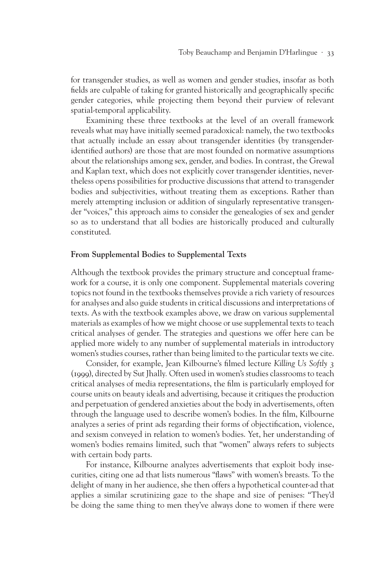for transgender studies, as well as women and gender studies, insofar as both fields are culpable of taking for granted historically and geographically specific gender categories, while projecting them beyond their purview of relevant spatial-temporal applicability.

Examining these three textbooks at the level of an overall framework reveals what may have initially seemed paradoxical: namely, the two textbooks that actually include an essay about transgender identities (by transgenderidentified authors) are those that are most founded on normative assumptions about the relationships among sex, gender, and bodies. In contrast, the Grewal and Kaplan text, which does not explicitly cover transgender identities, nevertheless opens possibilities for productive discussions that attend to transgender bodies and subjectivities, without treating them as exceptions. Rather than merely attempting inclusion or addition of singularly representative transgender "voices," this approach aims to consider the genealogies of sex and gender so as to understand that all bodies are historically produced and culturally constituted.

## **From Supplemental Bodies to Supplemental Texts**

Although the textbook provides the primary structure and conceptual framework for a course, it is only one component. Supplemental materials covering topics not found in the textbooks themselves provide a rich variety of resources for analyses and also guide students in critical discussions and interpretations of texts. As with the textbook examples above, we draw on various supplemental materials as examples of how we might choose or use supplemental texts to teach critical analyses of gender. The strategies and questions we offer here can be applied more widely to any number of supplemental materials in introductory women's studies courses, rather than being limited to the particular texts we cite.

Consider, for example, Jean Kilbourne's filmed lecture *Killing Us Softly 3*  (1999), directed by Sut Jhally*.* Often used in women's studies classrooms to teach critical analyses of media representations, the film is particularly employed for course units on beauty ideals and advertising, because it critiques the production and perpetuation of gendered anxieties about the body in advertisements, often through the language used to describe women's bodies. In the film, Kilbourne analyzes a series of print ads regarding their forms of objectification, violence, and sexism conveyed in relation to women's bodies. Yet, her understanding of women's bodies remains limited, such that "women" always refers to subjects with certain body parts.

For instance, Kilbourne analyzes advertisements that exploit body insecurities, citing one ad that lists numerous "flaws" with women's breasts. To the delight of many in her audience, she then offers a hypothetical counter-ad that applies a similar scrutinizing gaze to the shape and size of penises: "They'd be doing the same thing to men they've always done to women if there were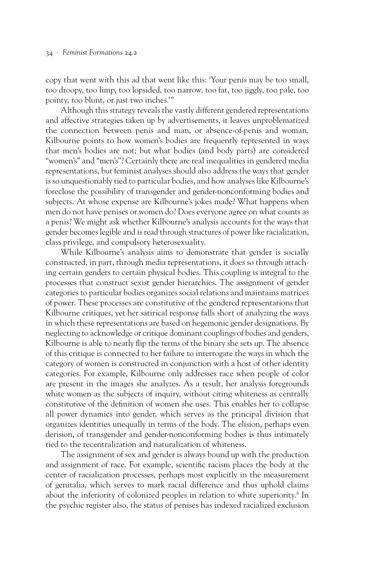copy that went with this ad that went like this: 'Your penis may be too small, too droopy, too limp, too lopsided, too narrow, too fat, too jiggly, too pale, too pointy, too blunt, or just two inches.'"

Although this strategy reveals the vastly different gendered representations and affective strategies taken up by advertisements, it leaves unproblematized the connection between penis and man, or absence-of-penis and woman. Kilbourne points to how women's bodies are frequently represented in ways that men's bodies are not; but what bodies (and body parts) are considered "women's" and "men's"? Certainly there are real inequalities in gendered media representations, but feminist analyses should also address the ways that gender is so unquestionably tied to particular bodies, and how analyses like Kilbourne's foreclose the possibility of transgender and gender-nonconforming bodies and subjects. At whose expense are Kilbourne's jokes made? What happens when men do not have penises or women do? Does everyone agree on what counts as a penis? We might ask whether Kilbourne's analysis accounts for the ways that gender becomes legible and is read through structures of power like racialization, class privilege, and compulsory heterosexuality.

While Kilbourne's analysis aims to demonstrate that gender is socially constructed, in part, through media representations, it does so through attaching certain genders to certain physical bodies. This coupling is integral to the processes that construct sexist gender hierarchies. The assignment of gender categories to particular bodies organizes social relations and maintains matrices of power. These processes are constitutive of the gendered representations that Kilbourne critiques, yet her satirical response falls short of analyzing the ways in which these representations are based on hegemonic gender designations. By neglecting to acknowledge or critique dominant couplings of bodies and genders, Kilbourne is able to neatly flip the terms of the binary she sets up. The absence of this critique is connected to her failure to interrogate the ways in which the category of women is constructed in conjunction with a host of other identity categories. For example, Kilbourne only addresses race when people of color are present in the images she analyzes. As a result, her analysis foregrounds white women as the subjects of inquiry, without citing whiteness as centrally constitutive of the definition of women she uses. This enables her to collapse all power dynamics into gender, which serves as the principal division that organizes identities unequally in terms of the body. The elision, perhaps even derision, of transgender and gender-nonconforming bodies is thus intimately tied to the recentralization and naturalization of whiteness.

The assignment of sex and gender is always bound up with the production and assignment of race. For example, scientific racism places the body at the center of racialization processes, perhaps most explicitly in the measurement of genitalia, which serves to mark racial difference and thus uphold claims about the inferiority of colonized peoples in relation to white superiority.<sup>8</sup> In the psychic register also, the status of penises has indexed racialized exclusion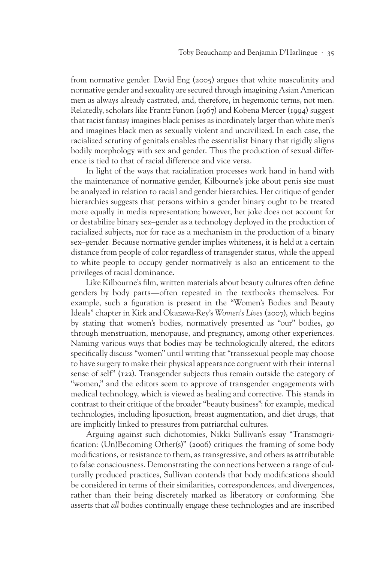from normative gender. David Eng (2005) argues that white masculinity and normative gender and sexuality are secured through imagining Asian American men as always already castrated, and, therefore, in hegemonic terms, not men. Relatedly, scholars like Frantz Fanon (1967) and Kobena Mercer (1994) suggest that racist fantasy imagines black penises as inordinately larger than white men's and imagines black men as sexually violent and uncivilized. In each case, the racialized scrutiny of genitals enables the essentialist binary that rigidly aligns bodily morphology with sex and gender. Thus the production of sexual difference is tied to that of racial difference and vice versa.

In light of the ways that racialization processes work hand in hand with the maintenance of normative gender, Kilbourne's joke about penis size must be analyzed in relation to racial and gender hierarchies. Her critique of gender hierarchies suggests that persons within a gender binary ought to be treated more equally in media representation; however, her joke does not account for or destabilize binary sex–gender as a technology deployed in the production of racialized subjects, nor for race as a mechanism in the production of a binary sex–gender. Because normative gender implies whiteness, it is held at a certain distance from people of color regardless of transgender status, while the appeal to white people to occupy gender normatively is also an enticement to the privileges of racial dominance.

Like Kilbourne's film, written materials about beauty cultures often define genders by body parts—often repeated in the textbooks themselves. For example, such a figuration is present in the "Women's Bodies and Beauty Ideals" chapter in Kirk and Okazawa-Rey's *Women's Lives* (2007), which begins by stating that women's bodies, normatively presented as "our" bodies, go through menstruation, menopause, and pregnancy, among other experiences. Naming various ways that bodies may be technologically altered, the editors specifically discuss "women" until writing that "transsexual people may choose to have surgery to make their physical appearance congruent with their internal sense of self" (122). Transgender subjects thus remain outside the category of "women," and the editors seem to approve of transgender engagements with medical technology, which is viewed as healing and corrective. This stands in contrast to their critique of the broader "beauty business": for example, medical technologies, including liposuction, breast augmentation, and diet drugs, that are implicitly linked to pressures from patriarchal cultures.

Arguing against such dichotomies, Nikki Sullivan's essay "Transmogrification: (Un)Becoming Other(s)" (2006) critiques the framing of some body modifications, or resistance to them, as transgressive, and others as attributable to false consciousness. Demonstrating the connections between a range of culturally produced practices, Sullivan contends that body modifications should be considered in terms of their similarities, correspondences, and divergences, rather than their being discretely marked as liberatory or conforming. She asserts that *all* bodies continually engage these technologies and are inscribed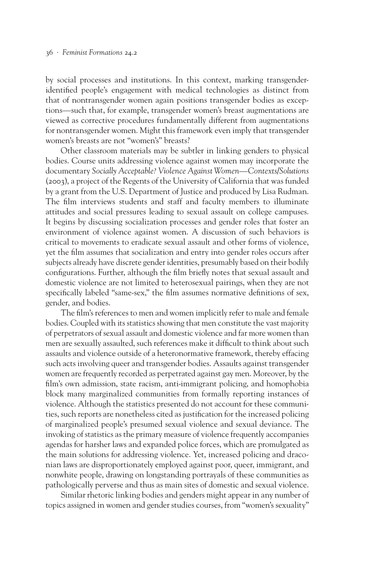by social processes and institutions. In this context, marking transgenderidentified people's engagement with medical technologies as distinct from that of nontransgender women again positions transgender bodies as exceptions—such that, for example, transgender women's breast augmentations are viewed as corrective procedures fundamentally different from augmentations for nontransgender women. Might this framework even imply that transgender women's breasts are not "women's" breasts?

Other classroom materials may be subtler in linking genders to physical bodies. Course units addressing violence against women may incorporate the documentary *Socially Acceptable? Violence Against Women—Contexts/Solutions* (2003), a project of the Regents of the University of California that was funded by a grant from the U.S. Department of Justice and produced by Lisa Rudman. The film interviews students and staff and faculty members to illuminate attitudes and social pressures leading to sexual assault on college campuses. It begins by discussing socialization processes and gender roles that foster an environment of violence against women. A discussion of such behaviors is critical to movements to eradicate sexual assault and other forms of violence, yet the film assumes that socialization and entry into gender roles occurs after subjects already have discrete gender identities, presumably based on their bodily configurations. Further, although the film briefly notes that sexual assault and domestic violence are not limited to heterosexual pairings, when they are not specifically labeled "same-sex," the film assumes normative definitions of sex, gender, and bodies.

The film's references to men and women implicitly refer to male and female bodies. Coupled with its statistics showing that men constitute the vast majority of perpetrators of sexual assault and domestic violence and far more women than men are sexually assaulted, such references make it difficult to think about such assaults and violence outside of a heteronormative framework, thereby effacing such acts involving queer and transgender bodies. Assaults against transgender women are frequently recorded as perpetrated against gay men. Moreover, by the film's own admission, state racism, anti-immigrant policing, and homophobia block many marginalized communities from formally reporting instances of violence. Although the statistics presented do not account for these communities, such reports are nonetheless cited as justification for the increased policing of marginalized people's presumed sexual violence and sexual deviance. The invoking of statistics as the primary measure of violence frequently accompanies agendas for harsher laws and expanded police forces, which are promulgated as the main solutions for addressing violence. Yet, increased policing and draconian laws are disproportionately employed against poor, queer, immigrant, and nonwhite people, drawing on longstanding portrayals of these communities as pathologically perverse and thus as main sites of domestic and sexual violence.

Similar rhetoric linking bodies and genders might appear in any number of topics assigned in women and gender studies courses, from "women's sexuality"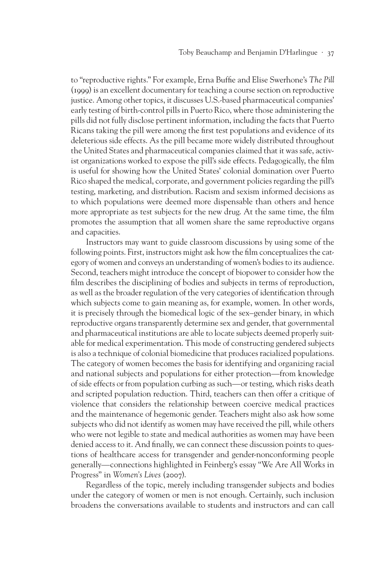to "reproductive rights." For example, Erna Buffie and Elise Swerhone's *The Pill*  (1999) is an excellent documentary for teaching a course section on reproductive justice. Among other topics, it discusses U.S.-based pharmaceutical companies' early testing of birth-control pills in Puerto Rico, where those administering the pills did not fully disclose pertinent information, including the facts that Puerto Ricans taking the pill were among the first test populations and evidence of its deleterious side effects. As the pill became more widely distributed throughout the United States and pharmaceutical companies claimed that it was safe, activist organizations worked to expose the pill's side effects. Pedagogically, the film is useful for showing how the United States' colonial domination over Puerto Rico shaped the medical, corporate, and government policies regarding the pill's testing, marketing, and distribution. Racism and sexism informed decisions as to which populations were deemed more dispensable than others and hence more appropriate as test subjects for the new drug. At the same time, the film promotes the assumption that all women share the same reproductive organs and capacities.

Instructors may want to guide classroom discussions by using some of the following points. First, instructors might ask how the film conceptualizes the category of women and conveys an understanding of women's bodies to its audience. Second, teachers might introduce the concept of biopower to consider how the film describes the disciplining of bodies and subjects in terms of reproduction, as well as the broader regulation of the very categories of identification through which subjects come to gain meaning as, for example, women. In other words, it is precisely through the biomedical logic of the sex–gender binary, in which reproductive organs transparently determine sex and gender, that governmental and pharmaceutical institutions are able to locate subjects deemed properly suitable for medical experimentation. This mode of constructing gendered subjects is also a technique of colonial biomedicine that produces racialized populations. The category of women becomes the basis for identifying and organizing racial and national subjects and populations for either protection—from knowledge of side effects or from population curbing as such—or testing, which risks death and scripted population reduction. Third, teachers can then offer a critique of violence that considers the relationship between coercive medical practices and the maintenance of hegemonic gender. Teachers might also ask how some subjects who did not identify as women may have received the pill, while others who were not legible to state and medical authorities as women may have been denied access to it. And finally, we can connect these discussion points to questions of healthcare access for transgender and gender-nonconforming people generally—connections highlighted in Feinberg's essay "We Are All Works in Progress" in *Women's Lives* (2007).

Regardless of the topic, merely including transgender subjects and bodies under the category of women or men is not enough. Certainly, such inclusion broadens the conversations available to students and instructors and can call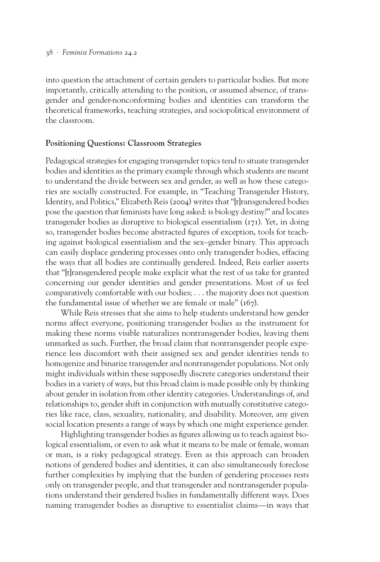into question the attachment of certain genders to particular bodies. But more importantly, critically attending to the position, or assumed absence, of transgender and gender-nonconforming bodies and identities can transform the theoretical frameworks, teaching strategies, and sociopolitical environment of the classroom.

### **Positioning Questions: Classroom Strategies**

Pedagogical strategies for engaging transgender topics tend to situate transgender bodies and identities as the primary example through which students are meant to understand the divide between sex and gender, as well as how these categories are socially constructed. For example, in "Teaching Transgender History, Identity, and Politics," Elizabeth Reis (2004) writes that "[t]ransgendered bodies pose the question that feminists have long asked: is biology destiny?" and locates transgender bodies as disruptive to biological essentialism (171). Yet, in doing so, transgender bodies become abstracted figures of exception, tools for teaching against biological essentialism and the sex–gender binary. This approach can easily displace gendering processes onto only transgender bodies, effacing the ways that all bodies are continually gendered. Indeed, Reis earlier asserts that "[t]ransgendered people make explicit what the rest of us take for granted concerning our gender identities and gender presentations. Most of us feel comparatively comfortable with our bodies; . . . the majority does not question the fundamental issue of whether we are female or male" (167).

While Reis stresses that she aims to help students understand how gender norms affect everyone, positioning transgender bodies as the instrument for making these norms visible naturalizes nontransgender bodies, leaving them unmarked as such. Further, the broad claim that nontransgender people experience less discomfort with their assigned sex and gender identities tends to homogenize and binarize transgender and nontransgender populations. Not only might individuals within these supposedly discrete categories understand their bodies in a variety of ways, but this broad claim is made possible only by thinking about gender in isolation from other identity categories. Understandings of, and relationships to, gender shift in conjunction with mutually constitutive categories like race, class, sexuality, nationality, and disability. Moreover, any given social location presents a range of ways by which one might experience gender.

Highlighting transgender bodies as figures allowing us to teach against biological essentialism, or even to ask what it means to be male or female, woman or man, is a risky pedagogical strategy. Even as this approach can broaden notions of gendered bodies and identities, it can also simultaneously foreclose further complexities by implying that the burden of gendering processes rests only on transgender people, and that transgender and nontransgender populations understand their gendered bodies in fundamentally different ways. Does naming transgender bodies as disruptive to essentialist claims—in ways that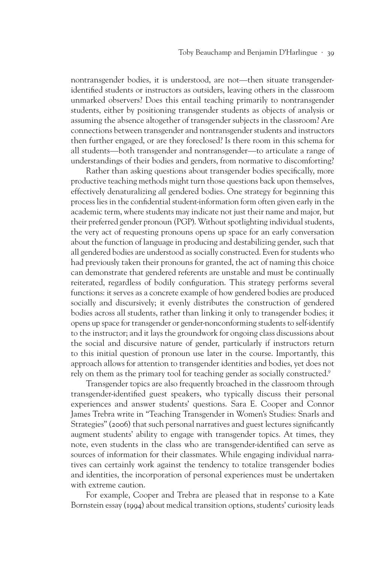nontransgender bodies, it is understood, are not—then situate transgenderidentified students or instructors as outsiders, leaving others in the classroom unmarked observers? Does this entail teaching primarily to nontransgender students, either by positioning transgender students as objects of analysis or assuming the absence altogether of transgender subjects in the classroom? Are connections between transgender and nontransgender students and instructors then further engaged, or are they foreclosed? Is there room in this schema for all students—both transgender and nontransgender—to articulate a range of understandings of their bodies and genders, from normative to discomforting?

Rather than asking questions about transgender bodies specifically, more productive teaching methods might turn those questions back upon themselves, effectively denaturalizing *all* gendered bodies. One strategy for beginning this process lies in the confidential student-information form often given early in the academic term, where students may indicate not just their name and major, but their preferred gender pronoun (PGP). Without spotlighting individual students, the very act of requesting pronouns opens up space for an early conversation about the function of language in producing and destabilizing gender, such that all gendered bodies are understood as socially constructed. Even for students who had previously taken their pronouns for granted, the act of naming this choice can demonstrate that gendered referents are unstable and must be continually reiterated, regardless of bodily configuration. This strategy performs several functions: it serves as a concrete example of how gendered bodies are produced socially and discursively; it evenly distributes the construction of gendered bodies across all students, rather than linking it only to transgender bodies; it opens up space for transgender or gender-nonconforming students to self-identify to the instructor; and it lays the groundwork for ongoing class discussions about the social and discursive nature of gender, particularly if instructors return to this initial question of pronoun use later in the course. Importantly, this approach allows for attention to transgender identities and bodies, yet does not rely on them as the primary tool for teaching gender as socially constructed.<sup>9</sup>

Transgender topics are also frequently broached in the classroom through transgender-identified guest speakers, who typically discuss their personal experiences and answer students' questions. Sara E. Cooper and Connor James Trebra write in "Teaching Transgender in Women's Studies: Snarls and Strategies" (2006) that such personal narratives and guest lectures significantly augment students' ability to engage with transgender topics. At times, they note, even students in the class who are transgender-identified can serve as sources of information for their classmates. While engaging individual narratives can certainly work against the tendency to totalize transgender bodies and identities, the incorporation of personal experiences must be undertaken with extreme caution.

For example, Cooper and Trebra are pleased that in response to a Kate Bornstein essay (1994) about medical transition options, students' curiosity leads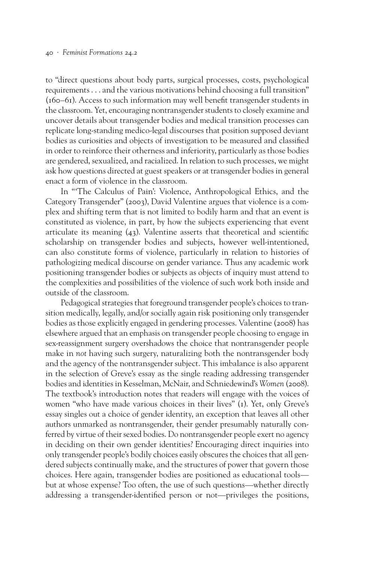### 40 · *Feminist Formations* 24.2

to "direct questions about body parts, surgical processes, costs, psychological requirements . . . and the various motivations behind choosing a full transition" (160–61). Access to such information may well benefit transgender students in the classroom. Yet, encouraging nontransgender students to closely examine and uncover details about transgender bodies and medical transition processes can replicate long-standing medico-legal discourses that position supposed deviant bodies as curiosities and objects of investigation to be measured and classified in order to reinforce their otherness and inferiority, particularly as those bodies are gendered, sexualized, and racialized. In relation to such processes, we might ask how questions directed at guest speakers or at transgender bodies in general enact a form of violence in the classroom.

In "'The Calculus of Pain': Violence, Anthropological Ethics, and the Category Transgender" (2003), David Valentine argues that violence is a complex and shifting term that is not limited to bodily harm and that an event is constituted as violence, in part, by how the subjects experiencing that event articulate its meaning (43). Valentine asserts that theoretical and scientific scholarship on transgender bodies and subjects, however well-intentioned, can also constitute forms of violence, particularly in relation to histories of pathologizing medical discourse on gender variance. Thus any academic work positioning transgender bodies or subjects as objects of inquiry must attend to the complexities and possibilities of the violence of such work both inside and outside of the classroom.

Pedagogical strategies that foreground transgender people's choices to transition medically, legally, and/or socially again risk positioning only transgender bodies as those explicitly engaged in gendering processes. Valentine (2008) has elsewhere argued that an emphasis on transgender people choosing to engage in sex-reassignment surgery overshadows the choice that nontransgender people make in *not* having such surgery, naturalizing both the nontransgender body and the agency of the nontransgender subject. This imbalance is also apparent in the selection of Greve's essay as the single reading addressing transgender bodies and identities in Kesselman, McNair, and Schniedewind's *Women* (2008). The textbook's introduction notes that readers will engage with the voices of women "who have made various choices in their lives" (1). Yet, only Greve's essay singles out a choice of gender identity, an exception that leaves all other authors unmarked as nontransgender, their gender presumably naturally conferred by virtue of their sexed bodies. Do nontransgender people exert no agency in deciding on their own gender identities? Encouraging direct inquiries into only transgender people's bodily choices easily obscures the choices that all gendered subjects continually make, and the structures of power that govern those choices. Here again, transgender bodies are positioned as educational tools but at whose expense? Too often, the use of such questions—whether directly addressing a transgender-identified person or not—privileges the positions,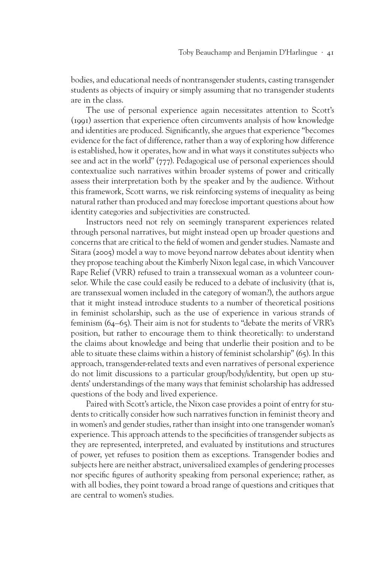bodies, and educational needs of nontransgender students, casting transgender students as objects of inquiry or simply assuming that no transgender students are in the class.

The use of personal experience again necessitates attention to Scott's (1991) assertion that experience often circumvents analysis of how knowledge and identities are produced. Significantly, she argues that experience "becomes evidence for the fact of difference, rather than a way of exploring how difference is established, how it operates, how and in what ways it constitutes subjects who see and act in the world" (777). Pedagogical use of personal experiences should contextualize such narratives within broader systems of power and critically assess their interpretation both by the speaker and by the audience. Without this framework, Scott warns, we risk reinforcing systems of inequality as being natural rather than produced and may foreclose important questions about how identity categories and subjectivities are constructed.

Instructors need not rely on seemingly transparent experiences related through personal narratives, but might instead open up broader questions and concerns that are critical to the field of women and gender studies. Namaste and Sitara (2005) model a way to move beyond narrow debates about identity when they propose teaching about the Kimberly Nixon legal case, in which Vancouver Rape Relief (VRR) refused to train a transsexual woman as a volunteer counselor. While the case could easily be reduced to a debate of inclusivity (that is, are transsexual women included in the category of woman?), the authors argue that it might instead introduce students to a number of theoretical positions in feminist scholarship, such as the use of experience in various strands of feminism (64–65). Their aim is not for students to "debate the merits of VRR's position, but rather to encourage them to think theoretically: to understand the claims about knowledge and being that underlie their position and to be able to situate these claims within a history of feminist scholarship" (65). In this approach, transgender-related texts and even narratives of personal experience do not limit discussions to a particular group/body/identity, but open up students' understandings of the many ways that feminist scholarship has addressed questions of the body and lived experience.

Paired with Scott's article, the Nixon case provides a point of entry for students to critically consider how such narratives function in feminist theory and in women's and gender studies, rather than insight into one transgender woman's experience. This approach attends to the specificities of transgender subjects as they are represented, interpreted, and evaluated by institutions and structures of power, yet refuses to position them as exceptions. Transgender bodies and subjects here are neither abstract, universalized examples of gendering processes nor specific figures of authority speaking from personal experience; rather, as with all bodies, they point toward a broad range of questions and critiques that are central to women's studies.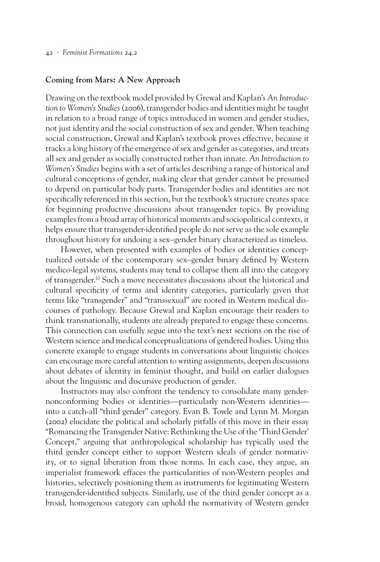#### **Coming from Mars: A New Approach**

Drawing on the textbook model provided by Grewal and Kaplan's *An Introduction to Women's Studies* (2006), transgender bodies and identities might be taught in relation to a broad range of topics introduced in women and gender studies, not just identity and the social construction of sex and gender. When teaching social construction, Grewal and Kaplan's textbook proves effective, because it tracks a long history of the emergence of sex and gender as categories, and treats all sex and gender as socially constructed rather than innate. *An Introduction to Women's Studies* begins with a set of articles describing a range of historical and cultural conceptions of gender, making clear that gender cannot be presumed to depend on particular body parts. Transgender bodies and identities are not specifically referenced in this section, but the textbook's structure creates space for beginning productive discussions about transgender topics. By providing examples from a broad array of historical moments and sociopolitical contexts, it helps ensure that transgender-identified people do not serve as the sole example throughout history for undoing a sex–gender binary characterized as timeless.

However, when presented with examples of bodies or identities conceptualized outside of the contemporary sex–gender binary defined by Western medico-legal systems, students may tend to collapse them all into the category of transgender.10 Such a move necessitates discussions about the historical and cultural specificity of terms and identity categories, particularly given that terms like "transgender" and "transsexual" are rooted in Western medical discourses of pathology. Because Grewal and Kaplan encourage their readers to think transnationally, students are already prepared to engage these concerns. This connection can usefully segue into the text's next sections on the rise of Western science and medical conceptualizations of gendered bodies. Using this concrete example to engage students in conversations about linguistic choices can encourage more careful attention to writing assignments, deepen discussions about debates of identity in feminist thought, and build on earlier dialogues about the linguistic and discursive production of gender.

Instructors may also confront the tendency to consolidate many gendernonconforming bodies or identities—particularly non-Western identities into a catch-all "third gender" category. Evan B. Towle and Lynn M. Morgan (2002) elucidate the political and scholarly pitfalls of this move in their essay "Romancing the Transgender Native: Rethinking the Use of the 'Third Gender' Concept," arguing that anthropological scholarship has typically used the third gender concept either to support Western ideals of gender normativity, or to signal liberation from those norms. In each case, they argue, an imperialist framework effaces the particularities of non-Western peoples and histories, selectively positioning them as instruments for legitimating Western transgender-identified subjects. Similarly, use of the third gender concept as a broad, homogenous category can uphold the normativity of Western gender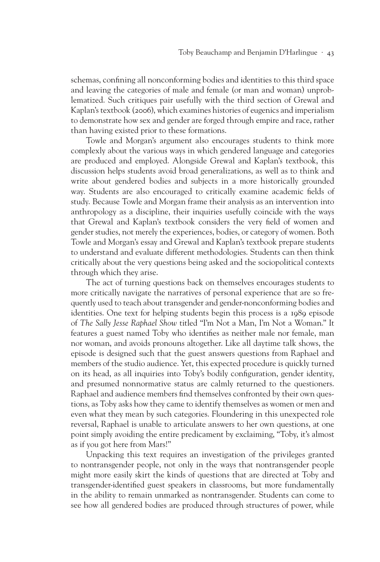schemas, confining all nonconforming bodies and identities to this third space and leaving the categories of male and female (or man and woman) unproblematized. Such critiques pair usefully with the third section of Grewal and Kaplan's textbook (2006), which examines histories of eugenics and imperialism to demonstrate how sex and gender are forged through empire and race, rather than having existed prior to these formations.

Towle and Morgan's argument also encourages students to think more complexly about the various ways in which gendered language and categories are produced and employed. Alongside Grewal and Kaplan's textbook, this discussion helps students avoid broad generalizations, as well as to think and write about gendered bodies and subjects in a more historically grounded way. Students are also encouraged to critically examine academic fields of study. Because Towle and Morgan frame their analysis as an intervention into anthropology as a discipline, their inquiries usefully coincide with the ways that Grewal and Kaplan's textbook considers the very field of women and gender studies, not merely the experiences, bodies, or category of women. Both Towle and Morgan's essay and Grewal and Kaplan's textbook prepare students to understand and evaluate different methodologies. Students can then think critically about the very questions being asked and the sociopolitical contexts through which they arise.

The act of turning questions back on themselves encourages students to more critically navigate the narratives of personal experience that are so frequently used to teach about transgender and gender-nonconforming bodies and identities. One text for helping students begin this process is a 1989 episode of *The Sally Jesse Raphael Show* titled "I'm Not a Man, I'm Not a Woman." It features a guest named Toby who identifies as neither male nor female, man nor woman, and avoids pronouns altogether. Like all daytime talk shows, the episode is designed such that the guest answers questions from Raphael and members of the studio audience. Yet, this expected procedure is quickly turned on its head, as all inquiries into Toby's bodily configuration, gender identity, and presumed nonnormative status are calmly returned to the questioners. Raphael and audience members find themselves confronted by their own questions, as Toby asks how they came to identify themselves as women or men and even what they mean by such categories. Floundering in this unexpected role reversal, Raphael is unable to articulate answers to her own questions, at one point simply avoiding the entire predicament by exclaiming, "Toby, it's almost as if you got here from Mars!"

Unpacking this text requires an investigation of the privileges granted to nontransgender people, not only in the ways that nontransgender people might more easily skirt the kinds of questions that are directed at Toby and transgender-identified guest speakers in classrooms, but more fundamentally in the ability to remain unmarked as nontransgender. Students can come to see how all gendered bodies are produced through structures of power, while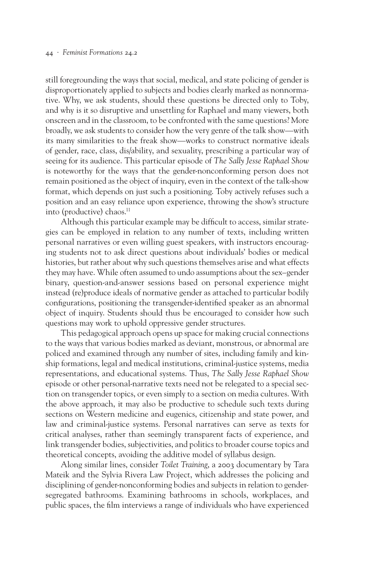## 44 · *Feminist Formations* 24.2

still foregrounding the ways that social, medical, and state policing of gender is disproportionately applied to subjects and bodies clearly marked as nonnormative. Why, we ask students, should these questions be directed only to Toby, and why is it so disruptive and unsettling for Raphael and many viewers, both onscreen and in the classroom, to be confronted with the same questions? More broadly, we ask students to consider how the very genre of the talk show—with its many similarities to the freak show—works to construct normative ideals of gender, race, class, dis/ability, and sexuality, prescribing a particular way of seeing for its audience. This particular episode of *The Sally Jesse Raphael Show* is noteworthy for the ways that the gender-nonconforming person does not remain positioned as the object of inquiry, even in the context of the talk-show format, which depends on just such a positioning. Toby actively refuses such a position and an easy reliance upon experience, throwing the show's structure into (productive) chaos.11

Although this particular example may be difficult to access, similar strategies can be employed in relation to any number of texts, including written personal narratives or even willing guest speakers, with instructors encouraging students not to ask direct questions about individuals' bodies or medical histories, but rather about why such questions themselves arise and what effects they may have. While often assumed to undo assumptions about the sex–gender binary, question-and-answer sessions based on personal experience might instead (re)produce ideals of normative gender as attached to particular bodily configurations, positioning the transgender-identified speaker as an abnormal object of inquiry. Students should thus be encouraged to consider how such questions may work to uphold oppressive gender structures.

This pedagogical approach opens up space for making crucial connections to the ways that various bodies marked as deviant, monstrous, or abnormal are policed and examined through any number of sites, including family and kinship formations, legal and medical institutions, criminal-justice systems, media representations, and educational systems. Thus, *The Sally Jesse Raphael Show* episode or other personal-narrative texts need not be relegated to a special section on transgender topics, or even simply to a section on media cultures. With the above approach, it may also be productive to schedule such texts during sections on Western medicine and eugenics, citizenship and state power, and law and criminal-justice systems. Personal narratives can serve as texts for critical analyses, rather than seemingly transparent facts of experience, and link transgender bodies, subjectivities, and politics to broader course topics and theoretical concepts, avoiding the additive model of syllabus design.

Along similar lines, consider *Toilet Training*, a 2003 documentary by Tara Mateik and the Sylvia Rivera Law Project, which addresses the policing and disciplining of gender-nonconforming bodies and subjects in relation to gendersegregated bathrooms. Examining bathrooms in schools, workplaces, and public spaces, the film interviews a range of individuals who have experienced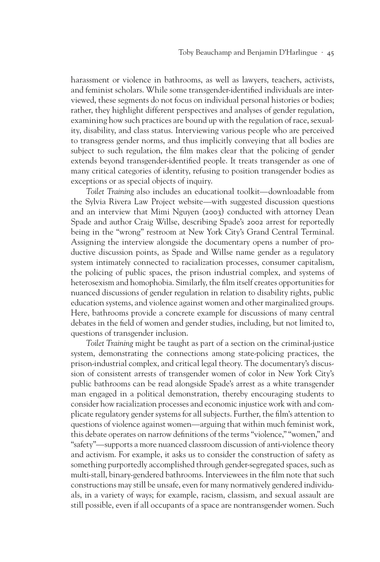harassment or violence in bathrooms, as well as lawyers, teachers, activists, and feminist scholars. While some transgender-identified individuals are interviewed, these segments do not focus on individual personal histories or bodies; rather, they highlight different perspectives and analyses of gender regulation, examining how such practices are bound up with the regulation of race, sexuality, disability, and class status. Interviewing various people who are perceived to transgress gender norms, and thus implicitly conveying that all bodies are subject to such regulation, the film makes clear that the policing of gender extends beyond transgender-identified people. It treats transgender as one of many critical categories of identity, refusing to position transgender bodies as exceptions or as special objects of inquiry.

*Toilet Training* also includes an educational toolkit—downloadable from the Sylvia Rivera Law Project website—with suggested discussion questions and an interview that Mimi Nguyen (2003) conducted with attorney Dean Spade and author Craig Willse, describing Spade's 2002 arrest for reportedly being in the "wrong" restroom at New York City's Grand Central Terminal. Assigning the interview alongside the documentary opens a number of productive discussion points, as Spade and Willse name gender as a regulatory system intimately connected to racialization processes, consumer capitalism, the policing of public spaces, the prison industrial complex, and systems of heterosexism and homophobia. Similarly, the film itself creates opportunities for nuanced discussions of gender regulation in relation to disability rights, public education systems, and violence against women and other marginalized groups. Here, bathrooms provide a concrete example for discussions of many central debates in the field of women and gender studies, including, but not limited to, questions of transgender inclusion.

*Toilet Training* might be taught as part of a section on the criminal-justice system, demonstrating the connections among state-policing practices, the prison-industrial complex, and critical legal theory. The documentary's discussion of consistent arrests of transgender women of color in New York City's public bathrooms can be read alongside Spade's arrest as a white transgender man engaged in a political demonstration, thereby encouraging students to consider how racialization processes and economic injustice work with and complicate regulatory gender systems for all subjects. Further, the film's attention to questions of violence against women—arguing that within much feminist work, this debate operates on narrow definitions of the terms "violence," "women," and "safety"—supports a more nuanced classroom discussion of anti-violence theory and activism. For example, it asks us to consider the construction of safety as something purportedly accomplished through gender-segregated spaces, such as multi-stall, binary-gendered bathrooms. Interviewees in the film note that such constructions may still be unsafe, even for many normatively gendered individuals, in a variety of ways; for example, racism, classism, and sexual assault are still possible, even if all occupants of a space are nontransgender women. Such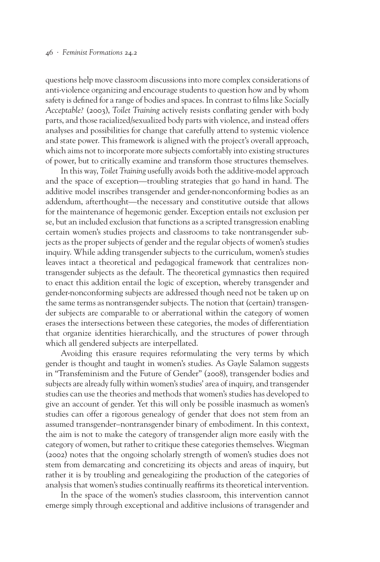questions help move classroom discussions into more complex considerations of anti-violence organizing and encourage students to question how and by whom safety is defined for a range of bodies and spaces. In contrast to films like *Socially Acceptable?* (2003), *Toilet Training* actively resists conflating gender with body parts, and those racialized/sexualized body parts with violence, and instead offers analyses and possibilities for change that carefully attend to systemic violence and state power. This framework is aligned with the project's overall approach, which aims not to incorporate more subjects comfortably into existing structures of power, but to critically examine and transform those structures themselves.

In this way, *Toilet Training* usefully avoids both the additive-model approach and the space of exception—troubling strategies that go hand in hand. The additive model inscribes transgender and gender-nonconforming bodies as an addendum, afterthought—the necessary and constitutive outside that allows for the maintenance of hegemonic gender. Exception entails not exclusion per se, but an included exclusion that functions as a scripted transgression enabling certain women's studies projects and classrooms to take nontransgender subjects as the proper subjects of gender and the regular objects of women's studies inquiry. While adding transgender subjects to the curriculum, women's studies leaves intact a theoretical and pedagogical framework that centralizes nontransgender subjects as the default. The theoretical gymnastics then required to enact this addition entail the logic of exception, whereby transgender and gender-nonconforming subjects are addressed though need not be taken up on the same terms as nontransgender subjects. The notion that (certain) transgender subjects are comparable to or aberrational within the category of women erases the intersections between these categories, the modes of differentiation that organize identities hierarchically, and the structures of power through which all gendered subjects are interpellated.

Avoiding this erasure requires reformulating the very terms by which gender is thought and taught in women's studies. As Gayle Salamon suggests in "Transfeminism and the Future of Gender" (2008), transgender bodies and subjects are already fully within women's studies' area of inquiry, and transgender studies can use the theories and methods that women's studies has developed to give an account of gender. Yet this will only be possible inasmuch as women's studies can offer a rigorous genealogy of gender that does not stem from an assumed transgender–nontransgender binary of embodiment. In this context, the aim is not to make the category of transgender align more easily with the category of women, but rather to critique these categories themselves. Wiegman (2002) notes that the ongoing scholarly strength of women's studies does not stem from demarcating and concretizing its objects and areas of inquiry, but rather it is by troubling and genealogizing the production of the categories of analysis that women's studies continually reaffirms its theoretical intervention.

In the space of the women's studies classroom, this intervention cannot emerge simply through exceptional and additive inclusions of transgender and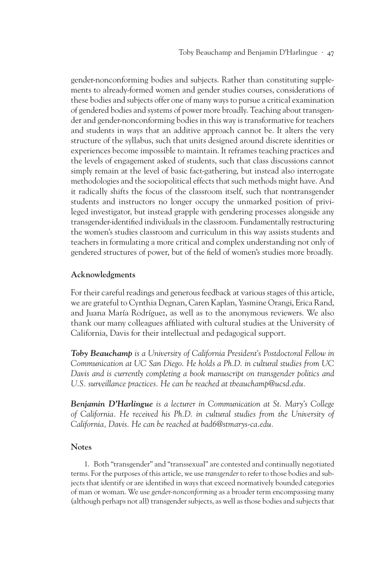gender-nonconforming bodies and subjects. Rather than constituting supplements to already-formed women and gender studies courses, considerations of these bodies and subjects offer one of many ways to pursue a critical examination of gendered bodies and systems of power more broadly. Teaching about transgender and gender-nonconforming bodies in this way is transformative for teachers and students in ways that an additive approach cannot be. It alters the very structure of the syllabus, such that units designed around discrete identities or experiences become impossible to maintain. It reframes teaching practices and the levels of engagement asked of students, such that class discussions cannot simply remain at the level of basic fact-gathering, but instead also interrogate methodologies and the sociopolitical effects that such methods might have. And it radically shifts the focus of the classroom itself, such that nontransgender students and instructors no longer occupy the unmarked position of privileged investigator, but instead grapple with gendering processes alongside any transgender-identified individuals in the classroom. Fundamentally restructuring the women's studies classroom and curriculum in this way assists students and teachers in formulating a more critical and complex understanding not only of gendered structures of power, but of the field of women's studies more broadly.

# **Acknowledgments**

For their careful readings and generous feedback at various stages of this article, we are grateful to Cynthia Degnan, Caren Kaplan, Yasmine Orangi, Erica Rand, and Juana María Rodríguez, as well as to the anonymous reviewers. We also thank our many colleagues affiliated with cultural studies at the University of California, Davis for their intellectual and pedagogical support.

*Toby Beauchamp is a University of California President's Postdoctoral Fellow in Communication at UC San Diego. He holds a Ph.D. in cultural studies from UC Davis and is currently completing a book manuscript on transgender politics and U.S. surveillance practices. He can be reached at tbeauchamp@ucsd.edu.*

*Benjamin D'Harlingue is a lecturer in Communication at St. Mary's College of California. He received his Ph.D. in cultural studies from the University of California, Davis. He can be reached at bad6@stmarys-ca.edu.*

# **Notes**

1. Both "transgender" and "transsexual" are contested and continually negotiated terms. For the purposes of this article, we use *transgender* to refer to those bodies and subjects that identify or are identified in ways that exceed normatively bounded categories of man or woman. We use *gender-nonconforming* as a broader term encompassing many (although perhaps not all) transgender subjects, as well as those bodies and subjects that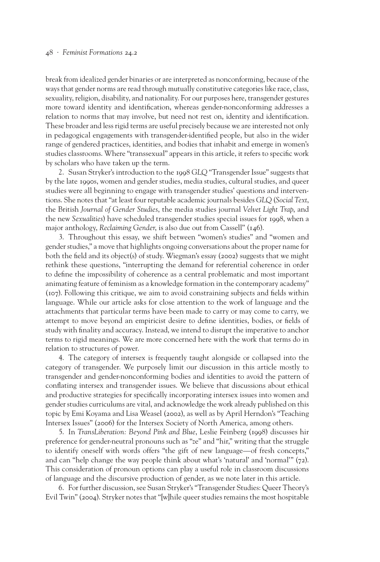### 48 · *Feminist Formations* 24.2

break from idealized gender binaries or are interpreted as nonconforming, because of the ways that gender norms are read through mutually constitutive categories like race, class, sexuality, religion, disability, and nationality. For our purposes here, transgender gestures more toward identity and identification, whereas gender-nonconforming addresses a relation to norms that may involve, but need not rest on, identity and identification. These broader and less rigid terms are useful precisely because we are interested not only in pedagogical engagements with transgender-identified people, but also in the wider range of gendered practices, identities, and bodies that inhabit and emerge in women's studies classrooms. Where "transsexual" appears in this article, it refers to specific work by scholars who have taken up the term.

2. Susan Stryker's introduction to the 1998 *GLQ* "Transgender Issue" suggests that by the late 1990s, women and gender studies, media studies, cultural studies, and queer studies were all beginning to engage with transgender studies' questions and interventions. She notes that "at least four reputable academic journals besides *GLQ* (*Social Text*, the British *Journal of Gender Studies*, the media studies journal *Velvet Light Trap*, and the new *Sexualities*) have scheduled transgender studies special issues for 1998, when a major anthology, *Reclaiming Gender*, is also due out from Cassell" (146).

3. Throughout this essay, we shift between "women's studies" and "women and gender studies," a move that highlights ongoing conversations about the proper name for both the field and its object(s) of study. Wiegman's essay (2002) suggests that we might rethink these questions, "interrupting the demand for referential coherence in order to define the impossibility of coherence as a central problematic and most important animating feature of feminism as a knowledge formation in the contemporary academy" (107). Following this critique, we aim to avoid constraining subjects and fields within language. While our article asks for close attention to the work of language and the attachments that particular terms have been made to carry or may come to carry, we attempt to move beyond an empiricist desire to define identities, bodies, or fields of study with finality and accuracy. Instead, we intend to disrupt the imperative to anchor terms to rigid meanings. We are more concerned here with the work that terms do in relation to structures of power.

4. The category of intersex is frequently taught alongside or collapsed into the category of transgender. We purposely limit our discussion in this article mostly to transgender and gender-nonconforming bodies and identities to avoid the pattern of conflating intersex and transgender issues. We believe that discussions about ethical and productive strategies for specifically incorporating intersex issues into women and gender studies curriculums are vital, and acknowledge the work already published on this topic by Emi Koyama and Lisa Weasel (2002), as well as by April Herndon's "Teaching Intersex Issues" (2006) for the Intersex Society of North America, among others.

5. In *TransLiberation: Beyond Pink and Blue*, Leslie Feinberg (1998) discusses hir preference for gender-neutral pronouns such as "ze" and "hir," writing that the struggle to identify oneself with words offers "the gift of new language—of fresh concepts," and can "help change the way people think about what's 'natural' and 'normal'" (72). This consideration of pronoun options can play a useful role in classroom discussions of language and the discursive production of gender, as we note later in this article.

6. For further discussion, see Susan Stryker's "Transgender Studies: Queer Theory's Evil Twin" (2004). Stryker notes that "[w]hile queer studies remains the most hospitable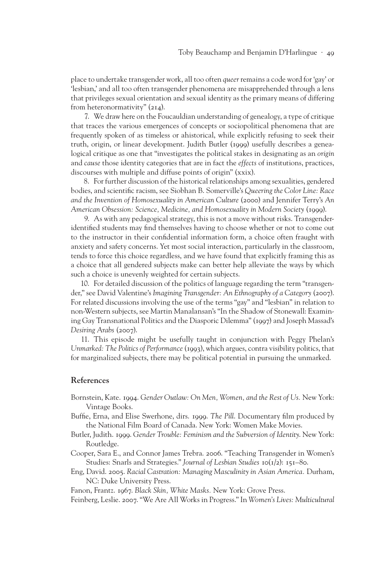place to undertake transgender work, all too often *queer* remains a code word for 'gay' or 'lesbian,' and all too often transgender phenomena are misapprehended through a lens that privileges sexual orientation and sexual identity as the primary means of differing from heteronormativity" (214).

7. We draw here on the Foucauldian understanding of genealogy, a type of critique that traces the various emergences of concepts or sociopolitical phenomena that are frequently spoken of as timeless or ahistorical, while explicitly refusing to seek their truth, origin, or linear development. Judith Butler (1999) usefully describes a genealogical critique as one that "investigates the political stakes in designating as an *origin* and *cause* those identity categories that are in fact the *effects* of institutions, practices, discourses with multiple and diffuse points of origin" (xxix).

8. For further discussion of the historical relationships among sexualities, gendered bodies, and scientific racism, see Siobhan B. Somerville's *Queering the Color Line: Race and the Invention of Homosexuality in American Culture* (2000) and Jennifer Terry's *An American Obsession: Science, Medicine, and Homosexuality in Modern Society* (1999).

9. As with any pedagogical strategy, this is not a move without risks. Transgenderidentified students may find themselves having to choose whether or not to come out to the instructor in their confidential information form, a choice often fraught with anxiety and safety concerns. Yet most social interaction, particularly in the classroom, tends to force this choice regardless, and we have found that explicitly framing this as a choice that all gendered subjects make can better help alleviate the ways by which such a choice is unevenly weighted for certain subjects.

10. For detailed discussion of the politics of language regarding the term "transgender," see David Valentine's *Imagining Transgender: An Ethnography of a Category* (2007). For related discussions involving the use of the terms "gay" and "lesbian" in relation to non-Western subjects, see Martin Manalansan's "In the Shadow of Stonewall: Examining Gay Transnational Politics and the Diasporic Dilemma" (1997) and Joseph Massad's *Desiring Arabs* (2007).

11. This episode might be usefully taught in conjunction with Peggy Phelan's *Unmarked: The Politics of Performance* (1993), which argues, contra visibility politics, that for marginalized subjects, there may be political potential in pursuing the unmarked.

## **References**

- Bornstein, Kate. 1994. *Gender Outlaw: On Men, Women, and the Rest of Us.* New York: Vintage Books.
- Buffie, Erna, and Elise Swerhone, dirs. 1999. *The Pill*. Documentary film produced by the National Film Board of Canada. New York: Women Make Movies.
- Butler, Judith. 1999. *Gender Trouble: Feminism and the Subversion of Identity*. New York: Routledge.
- Cooper, Sara E., and Connor James Trebra. 2006. "Teaching Transgender in Women's Studies: Snarls and Strategies." *Journal of Lesbian Studies* 10(1/2): 151–80.
- Eng, David. 2005. *Racial Castration: Managing Masculinity in Asian America.* Durham, NC: Duke University Press.

Fanon, Frantz. 1967. *Black Skin, White Masks.* New York: Grove Press.

Feinberg, Leslie. 2007. "We Are All Works in Progress." In *Women's Lives: Multicultural*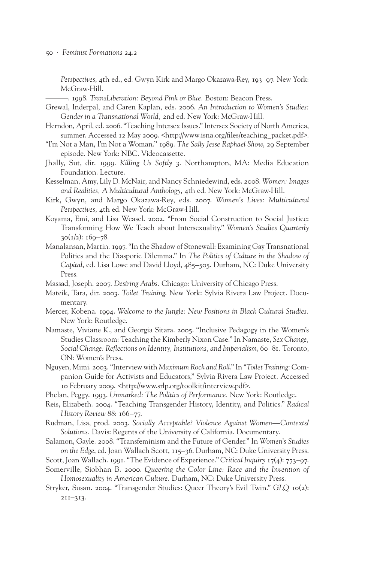50 · *Feminist Formations* 24.2

*Perspectives*, 4th ed., ed. Gwyn Kirk and Margo Okazawa-Rey, 193–97. New York: McGraw-Hill.

———. 1998. *TransLiberation: Beyond Pink or Blue.* Boston: Beacon Press.

- Grewal, Inderpal, and Caren Kaplan, eds. 2006. *An Introduction to Women's Studies: Gender in a Transnational World,* 2nd ed. New York: McGraw-Hill.
- Herndon, April, ed. 2006. "Teaching Intersex Issues." Intersex Society of North America, summer. Accessed 12 May 2009. <http://www.isna.org/files/teaching\_packet.pdf>.
- "I'm Not a Man, I'm Not a Woman." 1989. *The Sally Jesse Raphael Show*, 29 September episode. New York: NBC. Videocassette.
- Jhally, Sut, dir. 1999. *Killing Us Softly 3*. Northampton, MA: Media Education Foundation. Lecture.
- Kesselman, Amy, Lily D. McNair, and Nancy Schniedewind, eds. 2008. *Women: Images and Realities, A Multicultural Anthology,* 4th ed. New York: McGraw-Hill.
- Kirk, Gwyn, and Margo Okazawa-Rey, eds. 2007. *Women's Lives: Multicultural Perspectives,* 4th ed. New York: McGraw-Hill.
- Koyama, Emi, and Lisa Weasel. 2002. "From Social Construction to Social Justice: Transforming How We Teach about Intersexuality." *Women's Studies Quarterly*  $30(1/2)$ : 169–78.
- Manalansan, Martin. 1997. "In the Shadow of Stonewall: Examining Gay Transnational Politics and the Diasporic Dilemma." In *The Politics of Culture in the Shadow of Capital*, ed. Lisa Lowe and David Lloyd, 485–505. Durham, NC: Duke University Press.
- Massad, Joseph. 2007. *Desiring Arabs.* Chicago: University of Chicago Press.
- Mateik, Tara, dir. 2003. *Toilet Training*. New York: Sylvia Rivera Law Project. Documentary.
- Mercer, Kobena. 1994. *Welcome to the Jungle: New Positions in Black Cultural Studies.* New York: Routledge.
- Namaste, Viviane K., and Georgia Sitara. 2005. "Inclusive Pedagogy in the Women's Studies Classroom: Teaching the Kimberly Nixon Case." In Namaste, *Sex Change, Social Change: Reflections on Identity, Institutions, and Imperialism*, 60–81*.* Toronto, ON: Women's Press.
- Nguyen, Mimi. 2003. "Interview with *Maximum Rock and Roll*." In "*Toilet Training*: Companion Guide for Activists and Educators," Sylvia Rivera Law Project. Accessed 10 February 2009. <http://www.srlp.org/toolkit/interview.pdf>.
- Phelan, Peggy. 1993. *Unmarked: The Politics of Performance.* New York: Routledge.
- Reis, Elizabeth. 2004. "Teaching Transgender History, Identity, and Politics." *Radical History Review* 88: 166–77.
- Rudman, Lisa, prod. 2003. *Socially Acceptable? Violence Against Women—Contexts/ Solutions.* Davis: Regents of the University of California. Documentary.
- Salamon, Gayle. 2008. "Transfeminism and the Future of Gender." In *Women's Studies on the Edge*, ed. Joan Wallach Scott, 115–36. Durham, NC: Duke University Press.
- Scott, Joan Wallach. 1991. "The Evidence of Experience." *Critical Inquiry* 17(4): 773–97.
- Somerville, Siobhan B. 2000. *Queering the Color Line: Race and the Invention of Homosexuality in American Culture.* Durham, NC: Duke University Press.
- Stryker, Susan. 2004. "Transgender Studies: Queer Theory's Evil Twin." *GLQ* 10(2): 211–313.